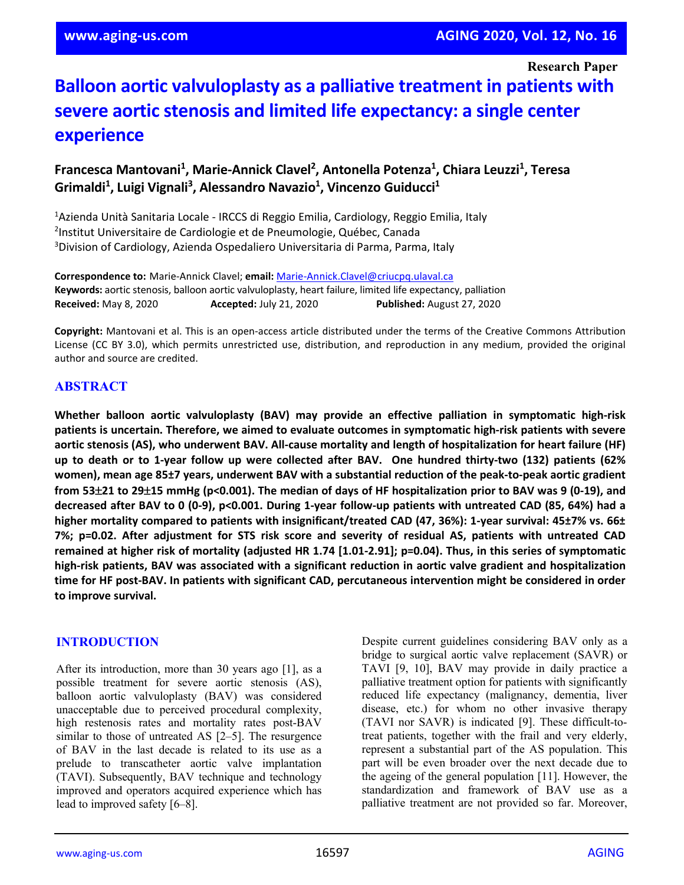**Research Paper**

# **Balloon aortic valvuloplasty as a palliative treatment in patients with severe aortic stenosis and limited life expectancy: a single center experience**

Francesca Mantovani<sup>1</sup>, Marie-Annick Clavel<sup>2</sup>, Antonella Potenza<sup>1</sup>, Chiara Leuzzi<sup>1</sup>, Teresa Grimaldi<sup>1</sup>, Luigi Vignali<sup>3</sup>, Alessandro Navazio<sup>1</sup>, Vincenzo Guiducci<sup>1</sup>

<sup>1</sup>Azienda Unità Sanitaria Locale - IRCCS di Reggio Emilia, Cardiology, Reggio Emilia, Italy <sup>2</sup>Institut Universitaire de Cardiologie et de Pneumologie, Québec, Canada 3 Division of Cardiology, Azienda Ospedaliero Universitaria di Parma, Parma, Italy

**Correspondence to:** Marie-Annick Clavel; **email:** [Marie-Annick.Clavel@criucpq.ulaval.ca](mailto:Marie-Annick.Clavel@criucpq.ulaval.ca) **Keywords:** aortic stenosis, balloon aortic valvuloplasty, heart failure, limited life expectancy, palliation **Received:** May 8, 2020 **Accepted:** July 21, 2020 **Published:** August 27, 2020

**Copyright:** Mantovani et al. This is an open-access article distributed under the terms of the Creative Commons Attribution License (CC BY 3.0), which permits unrestricted use, distribution, and reproduction in any medium, provided the original author and source are credited.

# **ABSTRACT**

**Whether balloon aortic valvuloplasty (BAV) may provide an effective palliation in symptomatic high-risk patients is uncertain. Therefore, we aimed to evaluate outcomes in symptomatic high-risk patients with severe** aortic stenosis (AS), who underwent BAV. All-cause mortality and length of hospitalization for heart failure (HF) **up to death or to 1-year follow up were collected after BAV. One hundred thirty-two (132) patients (62% women), mean age 85±7 years, underwent BAV with a substantial reduction of the peak-to-peak aortic gradient** from 53 $\pm$ 21 to 29 $\pm$ 15 mmHg (p<0.001). The median of days of HF hospitalization prior to BAV was 9 (0-19), and decreased after BAV to 0 (0-9), p<0.001. During 1-year follow-up patients with untreated CAD (85, 64%) had a **higher mortality compared to patients with insignificant/treated CAD (47, 36%): 1-year survival: 45±7% vs. 66± 7%; p=0.02. After adjustment for STS risk score and severity of residual AS, patients with untreated CAD** remained at higher risk of mortality (adjusted HR 1.74 [1.01-2.91]; p=0.04). Thus, in this series of symptomatic **high-risk patients, BAV was associated with a significant reduction in aortic valve gradient and hospitalization time for HF post-BAV. In patients with significant CAD, percutaneous intervention might be considered in order to improve survival.**

## **INTRODUCTION**

After its introduction, more than 30 years ago [1], as a possible treatment for severe aortic stenosis (AS), balloon aortic valvuloplasty (BAV) was considered unacceptable due to perceived procedural complexity, high restenosis rates and mortality rates post-BAV similar to those of untreated AS [2–5]. The resurgence of BAV in the last decade is related to its use as a prelude to transcatheter aortic valve implantation (TAVI). Subsequently, BAV technique and technology improved and operators acquired experience which has lead to improved safety [6–8].

Despite current guidelines considering BAV only as a bridge to surgical aortic valve replacement (SAVR) or TAVI [9, 10], BAV may provide in daily practice a palliative treatment option for patients with significantly reduced life expectancy (malignancy, dementia, liver disease, etc.) for whom no other invasive therapy (TAVI nor SAVR) is indicated [9]. These difficult-totreat patients, together with the frail and very elderly, represent a substantial part of the AS population. This part will be even broader over the next decade due to the ageing of the general population [11]. However, the standardization and framework of BAV use as a palliative treatment are not provided so far. Moreover,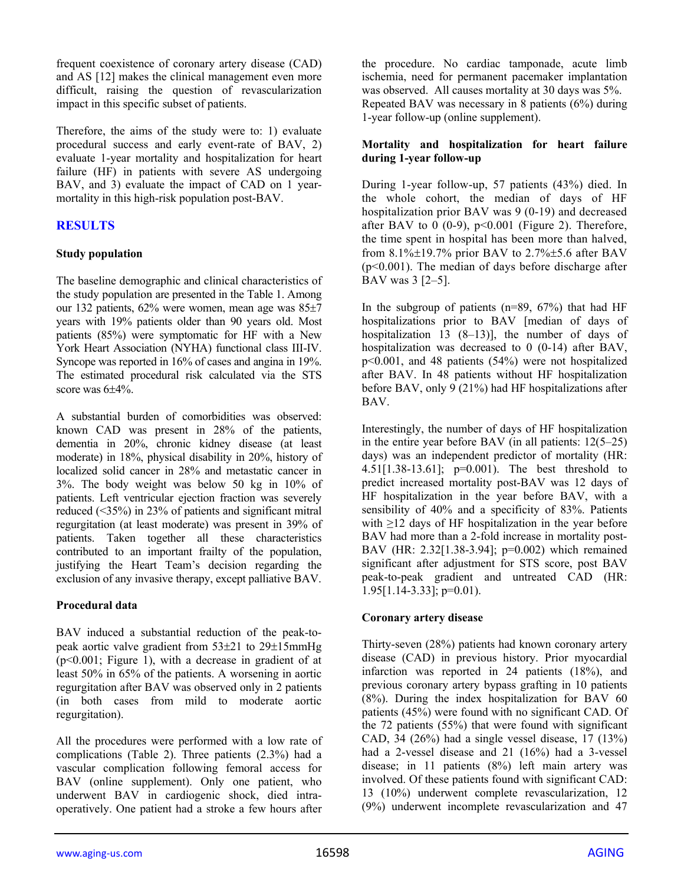frequent coexistence of coronary artery disease (CAD) and AS [12] makes the clinical management even more difficult, raising the question of revascularization impact in this specific subset of patients.

Therefore, the aims of the study were to: 1) evaluate procedural success and early event-rate of BAV, 2) evaluate 1-year mortality and hospitalization for heart failure (HF) in patients with severe AS undergoing BAV, and 3) evaluate the impact of CAD on 1 yearmortality in this high-risk population post-BAV.

# **RESULTS**

## **Study population**

The baseline demographic and clinical characteristics of the study population are presented in the Table 1. Among our 132 patients, 62% were women, mean age was 85±7 years with 19% patients older than 90 years old. Most patients (85%) were symptomatic for HF with a New York Heart Association (NYHA) functional class III-IV. Syncope was reported in 16% of cases and angina in 19%. The estimated procedural risk calculated via the STS score was  $6\pm4\%$ .

A substantial burden of comorbidities was observed: known CAD was present in 28% of the patients, dementia in 20%, chronic kidney disease (at least moderate) in 18%, physical disability in 20%, history of localized solid cancer in 28% and metastatic cancer in 3%. The body weight was below 50 kg in 10% of patients. Left ventricular ejection fraction was severely reduced (<35%) in 23% of patients and significant mitral regurgitation (at least moderate) was present in 39% of patients. Taken together all these characteristics contributed to an important frailty of the population, justifying the Heart Team's decision regarding the exclusion of any invasive therapy, except palliative BAV.

# **Procedural data**

BAV induced a substantial reduction of the peak-topeak aortic valve gradient from 53±21 to 29±15mmHg  $(p<0.001$ ; Figure 1), with a decrease in gradient of at least 50% in 65% of the patients. A worsening in aortic regurgitation after BAV was observed only in 2 patients (in both cases from mild to moderate aortic regurgitation).

All the procedures were performed with a low rate of complications (Table 2). Three patients (2.3%) had a vascular complication following femoral access for BAV (online supplement). Only one patient, who underwent BAV in cardiogenic shock, died intraoperatively. One patient had a stroke a few hours after

the procedure. No cardiac tamponade, acute limb ischemia, need for permanent pacemaker implantation was observed. All causes mortality at 30 days was 5%. Repeated BAV was necessary in 8 patients (6%) during 1-year follow-up (online supplement).

## **Mortality and hospitalization for heart failure during 1-year follow-up**

During 1-year follow-up, 57 patients (43%) died. In the whole cohort, the median of days of HF hospitalization prior BAV was 9 (0-19) and decreased after BAV to  $0$  (0-9),  $p<0.001$  (Figure 2). Therefore, the time spent in hospital has been more than halved, from  $8.1\% \pm 19.7\%$  prior BAV to  $2.7\% \pm 5.6$  after BAV (p<0.001). The median of days before discharge after BAV was 3 [2–5].

In the subgroup of patients  $(n=89, 67%)$  that had HF hospitalizations prior to BAV [median of days of hospitalization 13 (8–13)], the number of days of hospitalization was decreased to 0 (0-14) after BAV, p<0.001, and 48 patients (54%) were not hospitalized after BAV. In 48 patients without HF hospitalization before BAV, only 9 (21%) had HF hospitalizations after BAV.

Interestingly, the number of days of HF hospitalization in the entire year before BAV (in all patients: 12(5–25) days) was an independent predictor of mortality (HR: 4.51[1.38-13.61]; p=0.001). The best threshold to predict increased mortality post-BAV was 12 days of HF hospitalization in the year before BAV, with a sensibility of 40% and a specificity of 83%. Patients with  $\geq$ 12 days of HF hospitalization in the year before BAV had more than a 2-fold increase in mortality post-BAV (HR: 2.32[1.38-3.94]; p=0.002) which remained significant after adjustment for STS score, post BAV peak-to-peak gradient and untreated CAD (HR:  $1.95[1.14-3.33]$ ; p=0.01).

# **Coronary artery disease**

Thirty-seven (28%) patients had known coronary artery disease (CAD) in previous history. Prior myocardial infarction was reported in 24 patients (18%), and previous coronary artery bypass grafting in 10 patients (8%). During the index hospitalization for BAV 60 patients (45%) were found with no significant CAD. Of the 72 patients (55%) that were found with significant CAD, 34 (26%) had a single vessel disease, 17 (13%) had a 2-vessel disease and 21 (16%) had a 3-vessel disease; in 11 patients (8%) left main artery was involved. Of these patients found with significant CAD: 13 (10%) underwent complete revascularization, 12 (9%) underwent incomplete revascularization and 47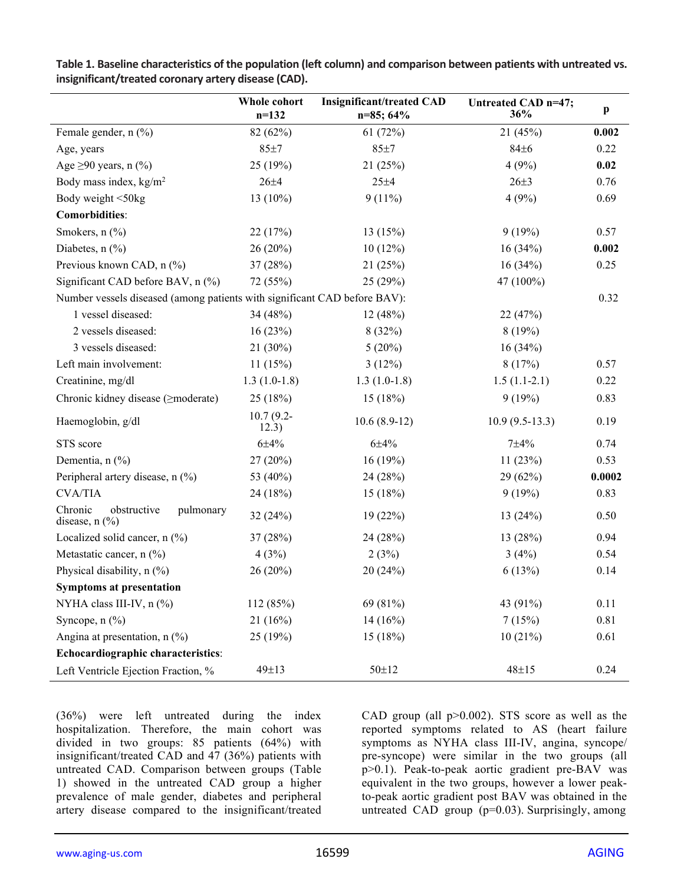|                                                                           | Whole cohort<br>$n=132$ | <b>Insignificant/treated CAD</b><br>$n=85$ ; 64% | Untreated CAD n=47;<br>36% | p      |
|---------------------------------------------------------------------------|-------------------------|--------------------------------------------------|----------------------------|--------|
| Female gender, n (%)                                                      | 82 (62%)                | 61(72%)                                          | 21(45%)                    | 0.002  |
| Age, years                                                                | 85±7                    | 85±7                                             | 84±6                       | 0.22   |
| Age $\geq$ 90 years, n (%)                                                | 25(19%)                 | 21(25%)                                          | 4(9%)                      | 0.02   |
| Body mass index, $kg/m2$                                                  | $26 + 4$                | $25 + 4$                                         | $26 + 3$                   | 0.76   |
| Body weight <50kg                                                         | 13 $(10\%)$             | $9(11\%)$                                        | 4(9%)                      | 0.69   |
| <b>Comorbidities:</b>                                                     |                         |                                                  |                            |        |
| Smokers, $n$ $(\%)$                                                       | 22(17%)                 | 13(15%)                                          | 9(19%)                     | 0.57   |
| Diabetes, $n$ $\left(\frac{9}{6}\right)$                                  | 26(20%)                 | 10(12%)                                          | 16(34%)                    | 0.002  |
| Previous known CAD, n (%)                                                 | 37(28%)                 | 21(25%)                                          | 16(34%)                    | 0.25   |
| Significant CAD before BAV, n (%)                                         | 72 (55%)                | 25(29%)                                          | 47 (100%)                  |        |
| Number vessels diseased (among patients with significant CAD before BAV): |                         |                                                  |                            | 0.32   |
| 1 vessel diseased:                                                        | 34 (48%)                | 12(48%)                                          | 22(47%)                    |        |
| 2 vessels diseased:                                                       | 16(23%)                 | 8(32%)                                           | 8(19%)                     |        |
| 3 vessels diseased:                                                       | $21(30\%)$              | $5(20\%)$                                        | 16(34%)                    |        |
| Left main involvement:                                                    | 11(15%)                 | 3(12%)                                           | 8(17%)                     | 0.57   |
| Creatinine, mg/dl                                                         | $1.3(1.0-1.8)$          | $1.3(1.0-1.8)$                                   | $1.5(1.1-2.1)$             | 0.22   |
| Chronic kidney disease ( <i>&gt;moderate</i> )                            | 25(18%)                 | 15(18%)                                          | 9(19%)                     | 0.83   |
| Haemoglobin, g/dl                                                         | $10.7(9.2 -$<br>12.3)   | $10.6(8.9-12)$                                   | $10.9(9.5-13.3)$           | 0.19   |
| STS score                                                                 | $6 + 4%$                | $6 + 4%$                                         | $7 + 4%$                   | 0.74   |
| Dementia, $n$ (%)                                                         | 27(20%)                 | 16(19%)                                          | 11(23%)                    | 0.53   |
| Peripheral artery disease, n (%)                                          | 53 (40%)                | 24 (28%)                                         | 29(62%)                    | 0.0002 |
| <b>CVA/TIA</b>                                                            | 24 (18%)                | 15(18%)                                          | 9(19%)                     | 0.83   |
| Chronic<br>obstructive<br>pulmonary<br>disease, n (%)                     | 32 (24%)                | 19(22%)                                          | 13(24%)                    | 0.50   |
| Localized solid cancer, $n$ (%)                                           | 37 (28%)                | 24 (28%)                                         | 13(28%)                    | 0.94   |
| Metastatic cancer, n (%)                                                  | 4(3%)                   | 2(3%)                                            | 3(4%)                      | 0.54   |
| Physical disability, n (%)                                                | 26 (20%)                | 20(24%)                                          | 6(13%)                     | 0.14   |
| <b>Symptoms at presentation</b>                                           |                         |                                                  |                            |        |
| NYHA class III-IV, n (%)                                                  | 112 (85%)               | 69 (81%)                                         | 43 (91%)                   | 0.11   |
| Syncope, n (%)                                                            | 21(16%)                 | $14(16\%)$                                       | 7(15%)                     | 0.81   |
| Angina at presentation, $n$ (%)                                           | 25(19%)                 | 15(18%)                                          | 10(21%)                    | 0.61   |
| Echocardiographic characteristics:                                        |                         |                                                  |                            |        |
| Left Ventricle Ejection Fraction, %                                       | 49±13                   | $50 \pm 12$                                      | $48 \pm 15$                | 0.24   |

**Table 1. Baseline characteristics of the population (left column) and comparison between patients with untreated vs. insignificant/treated coronary artery disease (CAD).**

(36%) were left untreated during the index hospitalization. Therefore, the main cohort was divided in two groups: 85 patients (64%) with insignificant/treated CAD and 47 (36%) patients with untreated CAD. Comparison between groups (Table 1) showed in the untreated CAD group a higher prevalence of male gender, diabetes and peripheral artery disease compared to the insignificant/treated

CAD group (all  $p>0.002$ ). STS score as well as the reported symptoms related to AS (heart failure symptoms as NYHA class III-IV, angina, syncope/ pre-syncope) were similar in the two groups (all p>0.1). Peak-to-peak aortic gradient pre-BAV was equivalent in the two groups, however a lower peakto-peak aortic gradient post BAV was obtained in the untreated CAD group  $(p=0.03)$ . Surprisingly, among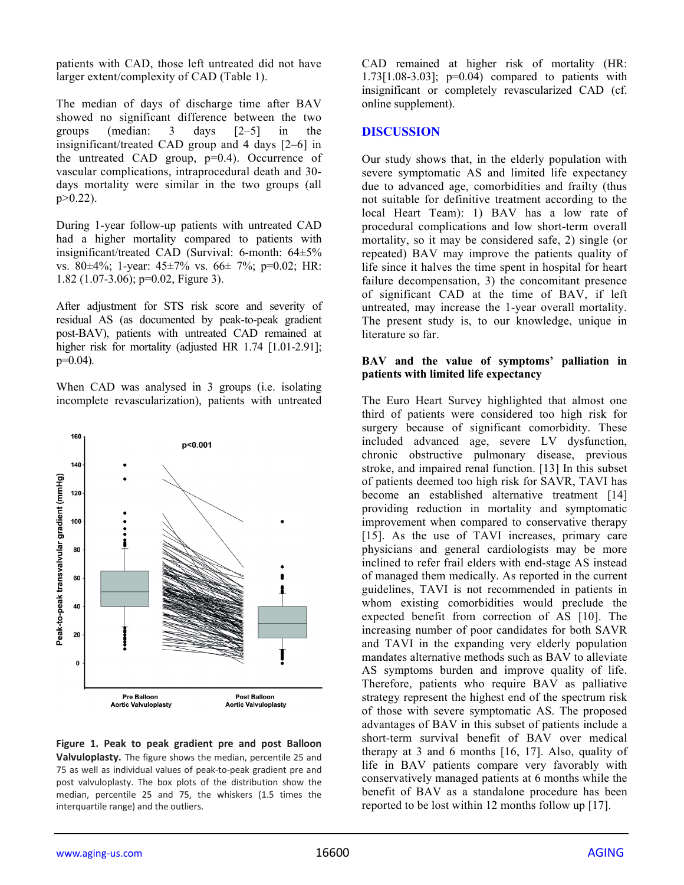patients with CAD, those left untreated did not have larger extent/complexity of CAD (Table 1).

The median of days of discharge time after BAV showed no significant difference between the two groups (median: 3 days [2–5] in the insignificant/treated CAD group and 4 days [2–6] in the untreated CAD group, p=0.4). Occurrence of vascular complications, intraprocedural death and 30 days mortality were similar in the two groups (all  $p > 0.22$ ).

During 1-year follow-up patients with untreated CAD had a higher mortality compared to patients with insignificant/treated CAD (Survival: 6-month: 64±5% vs. 80±4%; 1-year: 45±7% vs. 66± 7%; p=0.02; HR: 1.82 (1.07-3.06); p=0.02, Figure 3).

After adjustment for STS risk score and severity of residual AS (as documented by peak-to-peak gradient post-BAV), patients with untreated CAD remained at higher risk for mortality (adjusted HR 1.74 [1.01-2.91];  $p=0.04$ ).

When CAD was analysed in 3 groups (i.e. isolating incomplete revascularization), patients with untreated



**Figure 1. Peak to peak gradient pre and post Balloon Valvuloplasty.** The figure shows the median, percentile 25 and 75 as well as individual values of peak-to-peak gradient pre and post valvuloplasty. The box plots of the distribution show the median, percentile 25 and 75, the whiskers (1.5 times the interquartile range) and the outliers.

CAD remained at higher risk of mortality (HR: 1.73[1.08-3.03]; p=0.04) compared to patients with insignificant or completely revascularized CAD (cf. online supplement).

# **DISCUSSION**

Our study shows that, in the elderly population with severe symptomatic AS and limited life expectancy due to advanced age, comorbidities and frailty (thus not suitable for definitive treatment according to the local Heart Team): 1) BAV has a low rate of procedural complications and low short-term overall mortality, so it may be considered safe, 2) single (or repeated) BAV may improve the patients quality of life since it halves the time spent in hospital for heart failure decompensation, 3) the concomitant presence of significant CAD at the time of BAV, if left untreated, may increase the 1-year overall mortality. The present study is, to our knowledge, unique in literature so far.

#### **BAV and the value of symptoms' palliation in patients with limited life expectancy**

The Euro Heart Survey highlighted that almost one third of patients were considered too high risk for surgery because of significant comorbidity. These included advanced age, severe LV dysfunction, chronic obstructive pulmonary disease, previous stroke, and impaired renal function. [13] In this subset of patients deemed too high risk for SAVR, TAVI has become an established alternative treatment [14] providing reduction in mortality and symptomatic improvement when compared to conservative therapy [15]. As the use of TAVI increases, primary care physicians and general cardiologists may be more inclined to refer frail elders with end-stage AS instead of managed them medically. As reported in the current guidelines, TAVI is not recommended in patients in whom existing comorbidities would preclude the expected benefit from correction of AS [10]. The increasing number of poor candidates for both SAVR and TAVI in the expanding very elderly population mandates alternative methods such as BAV to alleviate AS symptoms burden and improve quality of life. Therefore, patients who require BAV as palliative strategy represent the highest end of the spectrum risk of those with severe symptomatic AS. The proposed advantages of BAV in this subset of patients include a short-term survival benefit of BAV over medical therapy at 3 and 6 months [16, 17]. Also, quality of life in BAV patients compare very favorably with conservatively managed patients at 6 months while the benefit of BAV as a standalone procedure has been reported to be lost within 12 months follow up [17].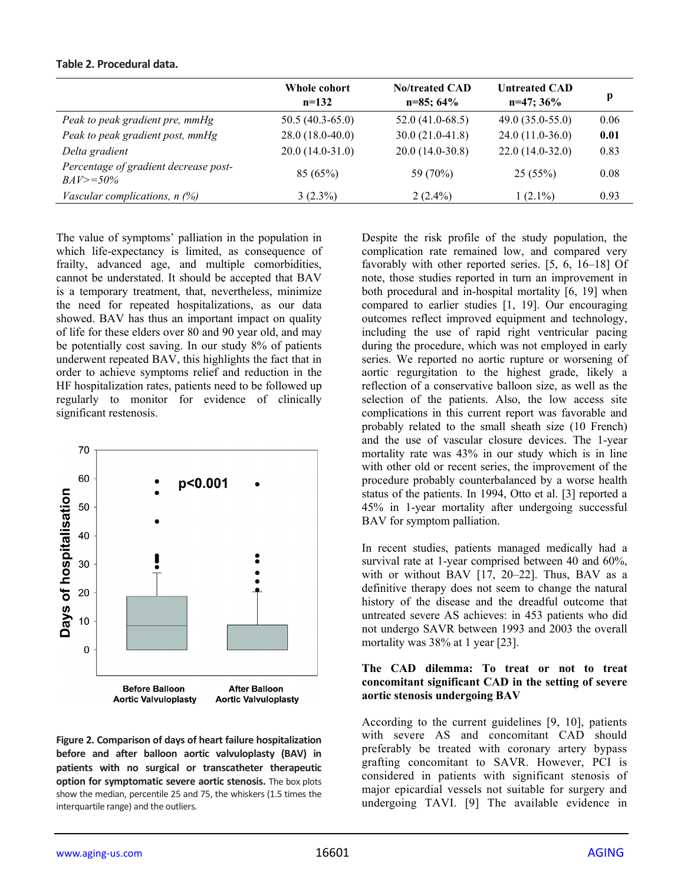# **Table 2. Procedural data.**

|                                                      | Whole cohort<br>$n=132$ | <b>No/treated CAD</b><br>$n=85;64%$ | <b>Untreated CAD</b><br>$n=47$ ; 36% | p    |
|------------------------------------------------------|-------------------------|-------------------------------------|--------------------------------------|------|
| Peak to peak gradient pre, mmHg                      | $50.5(40.3-65.0)$       | $52.0(41.0-68.5)$                   | $49.0(35.0-55.0)$                    | 0.06 |
| Peak to peak gradient post, mmHg                     | $28.0(18.0-40.0)$       | $30.0(21.0-41.8)$                   | $24.0(11.0-36.0)$                    | 0.01 |
| Delta gradient                                       | $20.0(14.0-31.0)$       | $20.0(14.0-30.8)$                   | $22.0(14.0-32.0)$                    | 0.83 |
| Percentage of gradient decrease post-<br>$BAV>=50\%$ | 85 (65%)                | 59 (70%)                            | 25(55%)                              | 0.08 |
| Vascular complications, $n$ (%)                      | $3(2.3\%)$              | $2(2.4\%)$                          | $1(2.1\%)$                           | 0.93 |

The value of symptoms' palliation in the population in which life-expectancy is limited, as consequence of frailty, advanced age, and multiple comorbidities, cannot be understated. It should be accepted that BAV is a temporary treatment, that, nevertheless, minimize the need for repeated hospitalizations, as our data showed. BAV has thus an important impact on quality of life for these elders over 80 and 90 year old, and may be potentially cost saving. In our study 8% of patients underwent repeated BAV, this highlights the fact that in order to achieve symptoms relief and reduction in the HF hospitalization rates, patients need to be followed up regularly to monitor for evidence of clinically significant restenosis.



**Figure 2. Comparison of days of heart failure hospitalization before and after balloon aortic valvuloplasty (BAV) in patients with no surgical or transcatheter therapeutic option for symptomatic severe aortic stenosis.** The box plots show the median, percentile 25 and 75, the whiskers (1.5 times the interquartile range) and the outliers.

Despite the risk profile of the study population, the complication rate remained low, and compared very favorably with other reported series. [5, 6, 16–18] Of note, those studies reported in turn an improvement in both procedural and in-hospital mortality [6, 19] when compared to earlier studies [1, 19]. Our encouraging outcomes reflect improved equipment and technology, including the use of rapid right ventricular pacing during the procedure, which was not employed in early series. We reported no aortic rupture or worsening of aortic regurgitation to the highest grade, likely a reflection of a conservative balloon size, as well as the selection of the patients. Also, the low access site complications in this current report was favorable and probably related to the small sheath size (10 French) and the use of vascular closure devices. The 1-year mortality rate was 43% in our study which is in line with other old or recent series, the improvement of the procedure probably counterbalanced by a worse health status of the patients. In 1994, Otto et al. [3] reported a 45% in 1-year mortality after undergoing successful BAV for symptom palliation.

In recent studies, patients managed medically had a survival rate at 1-year comprised between 40 and 60%, with or without BAV [17, 20-22]. Thus, BAV as a definitive therapy does not seem to change the natural history of the disease and the dreadful outcome that untreated severe AS achieves: in 453 patients who did not undergo SAVR between 1993 and 2003 the overall mortality was 38% at 1 year [23].

#### **The CAD dilemma: To treat or not to treat concomitant significant CAD in the setting of severe aortic stenosis undergoing BAV**

According to the current guidelines [9, 10], patients with severe AS and concomitant CAD should preferably be treated with coronary artery bypass grafting concomitant to SAVR. However, PCI is considered in patients with significant stenosis of major epicardial vessels not suitable for surgery and undergoing TAVI. [9] The available evidence in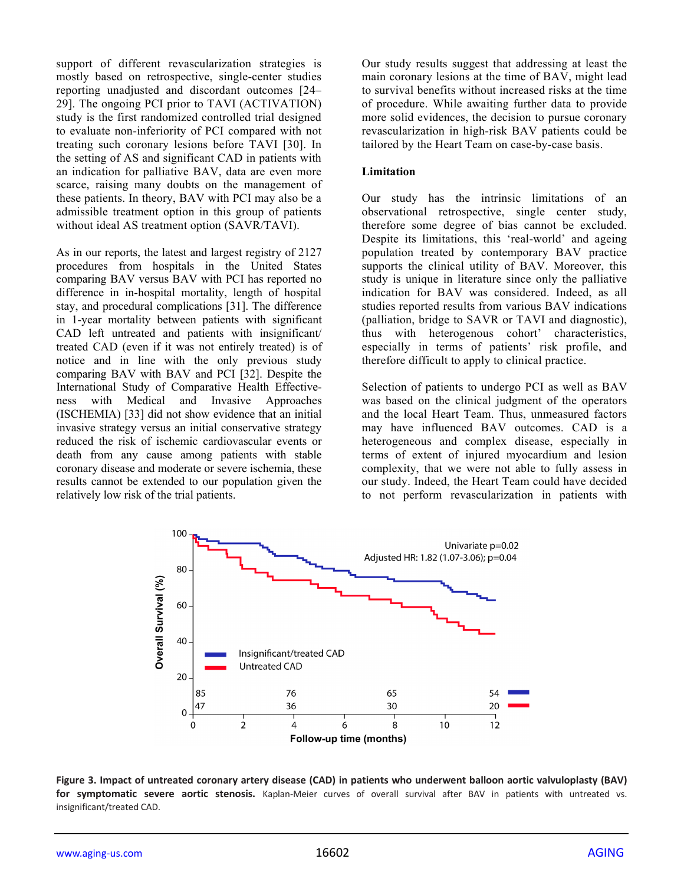support of different revascularization strategies is mostly based on retrospective, single-center studies reporting unadjusted and discordant outcomes [24– 29]. The ongoing PCI prior to TAVI (ACTIVATION) study is the first randomized controlled trial designed to evaluate non-inferiority of PCI compared with not treating such coronary lesions before TAVI [30]. In the setting of AS and significant CAD in patients with an indication for palliative BAV, data are even more scarce, raising many doubts on the management of these patients. In theory, BAV with PCI may also be a admissible treatment option in this group of patients without ideal AS treatment option (SAVR/TAVI).

As in our reports, the latest and largest registry of 2127 procedures from hospitals in the United States comparing BAV versus BAV with PCI has reported no difference in in-hospital mortality, length of hospital stay, and procedural complications [31]. The difference in 1-year mortality between patients with significant CAD left untreated and patients with insignificant/ treated CAD (even if it was not entirely treated) is of notice and in line with the only previous study comparing BAV with BAV and PCI [32]. Despite the International Study of Comparative Health Effectiveness with Medical and Invasive Approaches (ISCHEMIA) [33] did not show evidence that an initial invasive strategy versus an initial conservative strategy reduced the risk of ischemic cardiovascular events or death from any cause among patients with stable coronary disease and moderate or severe ischemia, these results cannot be extended to our population given the relatively low risk of the trial patients.

Our study results suggest that addressing at least the main coronary lesions at the time of BAV, might lead to survival benefits without increased risks at the time of procedure. While awaiting further data to provide more solid evidences, the decision to pursue coronary revascularization in high-risk BAV patients could be tailored by the Heart Team on case-by-case basis.

#### **Limitation**

Our study has the intrinsic limitations of an observational retrospective, single center study, therefore some degree of bias cannot be excluded. Despite its limitations, this 'real-world' and ageing population treated by contemporary BAV practice supports the clinical utility of BAV. Moreover, this study is unique in literature since only the palliative indication for BAV was considered. Indeed, as all studies reported results from various BAV indications (palliation, bridge to SAVR or TAVI and diagnostic), thus with heterogenous cohort' characteristics, especially in terms of patients' risk profile, and therefore difficult to apply to clinical practice.

Selection of patients to undergo PCI as well as BAV was based on the clinical judgment of the operators and the local Heart Team. Thus, unmeasured factors may have influenced BAV outcomes. CAD is a heterogeneous and complex disease, especially in terms of extent of injured myocardium and lesion complexity, that we were not able to fully assess in our study. Indeed, the Heart Team could have decided to not perform revascularization in patients with



**Figure 3. Impact of untreated coronary artery disease (CAD) in patients who underwent balloon aortic valvuloplasty (BAV) for symptomatic severe aortic stenosis.** Kaplan-Meier curves of overall survival after BAV in patients with untreated vs. insignificant/treated CAD.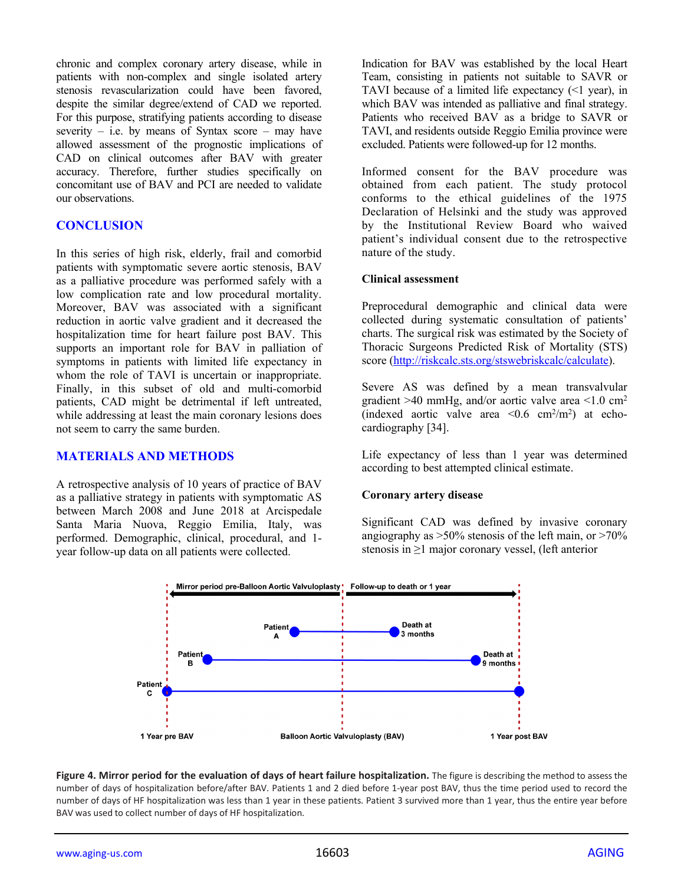chronic and complex coronary artery disease, while in patients with non-complex and single isolated artery stenosis revascularization could have been favored, despite the similar degree/extend of CAD we reported. For this purpose, stratifying patients according to disease severity – i.e. by means of Syntax score – may have allowed assessment of the prognostic implications of CAD on clinical outcomes after BAV with greater accuracy. Therefore, further studies specifically on concomitant use of BAV and PCI are needed to validate our observations.

# **CONCLUSION**

In this series of high risk, elderly, frail and comorbid patients with symptomatic severe aortic stenosis, BAV as a palliative procedure was performed safely with a low complication rate and low procedural mortality. Moreover, BAV was associated with a significant reduction in aortic valve gradient and it decreased the hospitalization time for heart failure post BAV. This supports an important role for BAV in palliation of symptoms in patients with limited life expectancy in whom the role of TAVI is uncertain or inappropriate. Finally, in this subset of old and multi-comorbid patients, CAD might be detrimental if left untreated, while addressing at least the main coronary lesions does not seem to carry the same burden.

## **MATERIALS AND METHODS**

A retrospective analysis of 10 years of practice of BAV as a palliative strategy in patients with symptomatic AS between March 2008 and June 2018 at Arcispedale Santa Maria Nuova, Reggio Emilia, Italy, was performed. Demographic, clinical, procedural, and 1 year follow-up data on all patients were collected.

Indication for BAV was established by the local Heart Team, consisting in patients not suitable to SAVR or TAVI because of a limited life expectancy (<1 year), in which BAV was intended as palliative and final strategy. Patients who received BAV as a bridge to SAVR or TAVI, and residents outside Reggio Emilia province were excluded. Patients were followed-up for 12 months.

Informed consent for the BAV procedure was obtained from each patient. The study protocol conforms to the ethical guidelines of the 1975 Declaration of Helsinki and the study was approved by the Institutional Review Board who waived patient's individual consent due to the retrospective nature of the study.

#### **Clinical assessment**

Preprocedural demographic and clinical data were collected during systematic consultation of patients' charts. The surgical risk was estimated by the Society of Thoracic Surgeons Predicted Risk of Mortality (STS) score [\(http://riskcalc.sts.org/stswebriskcalc/calculate\)](http://riskcalc.sts.org/stswebriskcalc/calculate).

Severe AS was defined by a mean transvalvular gradient  $>40$  mmHg, and/or aortic valve area  $<1.0$  cm<sup>2</sup> (indexed aortic valve area  $\leq 0.6$  cm<sup>2</sup>/m<sup>2</sup>) at echocardiography [34].

Life expectancy of less than 1 year was determined according to best attempted clinical estimate.

#### **Coronary artery disease**

Significant CAD was defined by invasive coronary angiography as  $>50\%$  stenosis of the left main, or  $>70\%$ stenosis in ≥1 major coronary vessel, (left anterior



**Figure 4. Mirror period for the evaluation of days of heart failure hospitalization.** The figure is describing the method to assess the number of days of hospitalization before/after BAV. Patients 1 and 2 died before 1-year post BAV, thus the time period used to record the number of days of HF hospitalization was less than 1 year in these patients. Patient 3 survived more than 1 year, thus the entire year before BAV was used to collect number of days of HF hospitalization.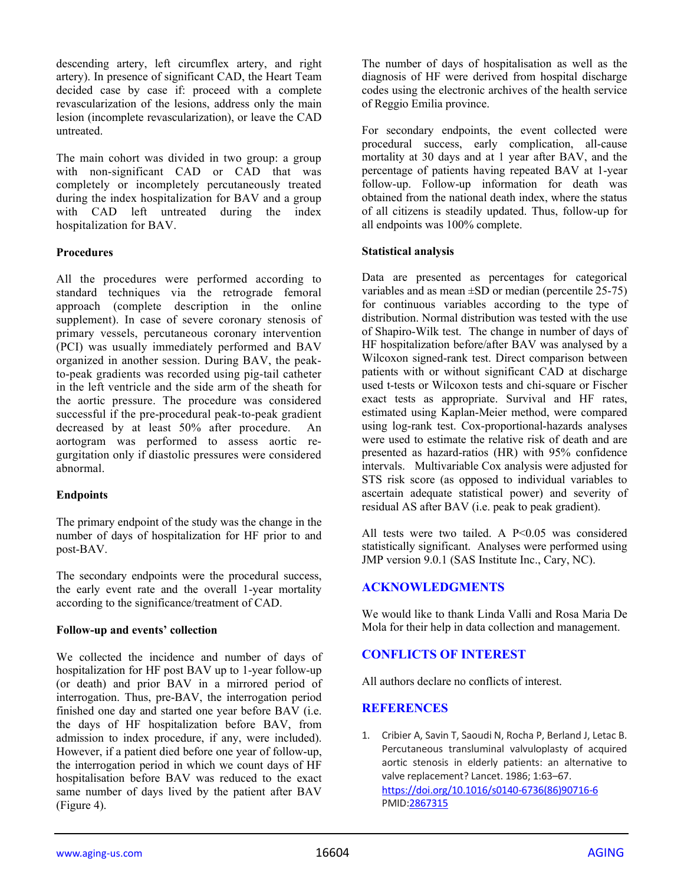descending artery, left circumflex artery, and right artery). In presence of significant CAD, the Heart Team decided case by case if: proceed with a complete revascularization of the lesions, address only the main lesion (incomplete revascularization), or leave the CAD untreated.

The main cohort was divided in two group: a group with non-significant CAD or CAD that was completely or incompletely percutaneously treated during the index hospitalization for BAV and a group with CAD left untreated during the index hospitalization for BAV.

# **Procedures**

All the procedures were performed according to standard techniques via the retrograde femoral approach (complete description in the online supplement). In case of severe coronary stenosis of primary vessels, percutaneous coronary intervention (PCI) was usually immediately performed and BAV organized in another session. During BAV, the peakto-peak gradients was recorded using pig-tail catheter in the left ventricle and the side arm of the sheath for the aortic pressure. The procedure was considered successful if the pre-procedural peak-to-peak gradient decreased by at least 50% after procedure. An aortogram was performed to assess aortic regurgitation only if diastolic pressures were considered abnormal.

## **Endpoints**

The primary endpoint of the study was the change in the number of days of hospitalization for HF prior to and post-BAV.

The secondary endpoints were the procedural success, the early event rate and the overall 1-year mortality according to the significance/treatment of CAD.

## **Follow-up and events' collection**

We collected the incidence and number of days of hospitalization for HF post BAV up to 1-year follow-up (or death) and prior BAV in a mirrored period of interrogation. Thus, pre-BAV, the interrogation period finished one day and started one year before BAV (i.e. the days of HF hospitalization before BAV, from admission to index procedure, if any, were included). However, if a patient died before one year of follow-up, the interrogation period in which we count days of HF hospitalisation before BAV was reduced to the exact same number of days lived by the patient after BAV (Figure 4).

The number of days of hospitalisation as well as the diagnosis of HF were derived from hospital discharge codes using the electronic archives of the health service of Reggio Emilia province.

For secondary endpoints, the event collected were procedural success, early complication, all-cause mortality at 30 days and at 1 year after BAV, and the percentage of patients having repeated BAV at 1-year follow-up. Follow-up information for death was obtained from the national death index, where the status of all citizens is steadily updated. Thus, follow-up for all endpoints was 100% complete.

# **Statistical analysis**

Data are presented as percentages for categorical variables and as mean  $\pm$ SD or median (percentile 25-75) for continuous variables according to the type of distribution. Normal distribution was tested with the use of Shapiro-Wilk test. The change in number of days of HF hospitalization before/after BAV was analysed by a Wilcoxon signed-rank test. Direct comparison between patients with or without significant CAD at discharge used t-tests or Wilcoxon tests and chi-square or Fischer exact tests as appropriate. Survival and HF rates, estimated using Kaplan-Meier method, were compared using log-rank test. Cox-proportional-hazards analyses were used to estimate the relative risk of death and are presented as hazard-ratios (HR) with 95% confidence intervals. Multivariable Cox analysis were adjusted for STS risk score (as opposed to individual variables to ascertain adequate statistical power) and severity of residual AS after BAV (i.e. peak to peak gradient).

All tests were two tailed. A P<0.05 was considered statistically significant. Analyses were performed using JMP version 9.0.1 (SAS Institute Inc., Cary, NC).

# **ACKNOWLEDGMENTS**

We would like to thank Linda Valli and Rosa Maria De Mola for their help in data collection and management.

# **CONFLICTS OF INTEREST**

All authors declare no conflicts of interest.

## **REFERENCES**

1. Cribier A, Savin T, Saoudi N, Rocha P, Berland J, Letac B. Percutaneous transluminal valvuloplasty of acquired aortic stenosis in elderly patients: an alternative to valve replacement? Lancet. 1986; 1:63–67. [https://doi.org/10.1016/s0140-6736\(86\)90716-6](https://doi.org/10.1016/s0140-6736(86)90716-6) PMID[:2867315](https://pubmed.ncbi.nlm.nih.gov/2867315)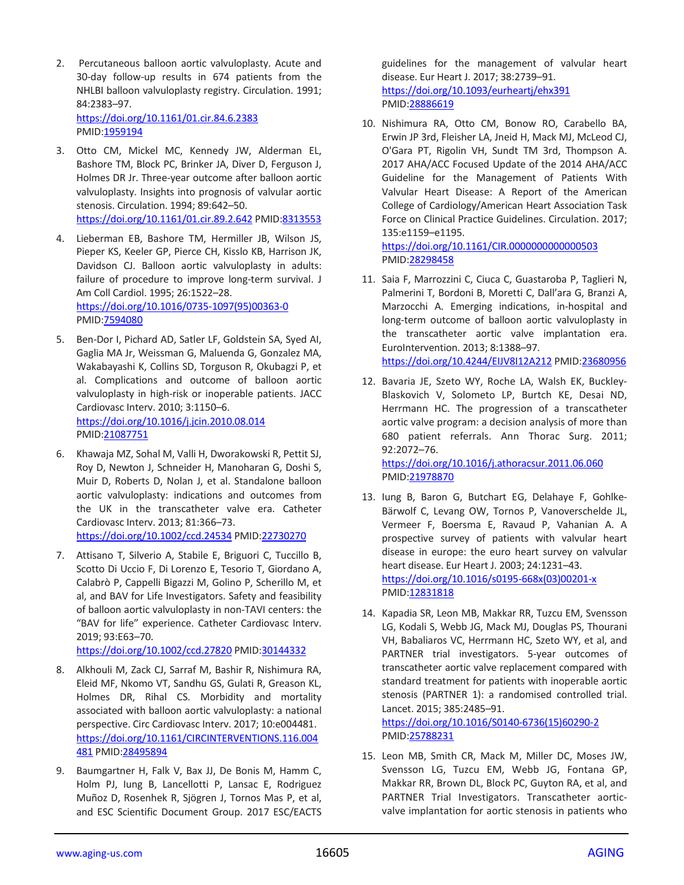- 2. Percutaneous balloon aortic valvuloplasty. Acute and 30-day follow-up results in 674 patients from the NHLBI balloon valvuloplasty registry. Circulation. 1991; 84:2383–97. <https://doi.org/10.1161/01.cir.84.6.2383> PMID[:1959194](https://pubmed.ncbi.nlm.nih.gov/1959194)
- 3. Otto CM, Mickel MC, Kennedy JW, Alderman EL, Bashore TM, Block PC, Brinker JA, Diver D, Ferguson J, Holmes DR Jr. Three-year outcome after balloon aortic valvuloplasty. Insights into prognosis of valvular aortic stenosis. Circulation. 1994; 89:642–50. <https://doi.org/10.1161/01.cir.89.2.642> PMID[:8313553](https://pubmed.ncbi.nlm.nih.gov/8313553)
- 4. Lieberman EB, Bashore TM, Hermiller JB, Wilson JS, Pieper KS, Keeler GP, Pierce CH, Kisslo KB, Harrison JK, Davidson CJ. Balloon aortic valvuloplasty in adults: failure of procedure to improve long-term survival. J Am Coll Cardiol. 1995; 26:1522–28. [https://doi.org/10.1016/0735-1097\(95\)00363-0](https://doi.org/10.1016/0735-1097(95)00363-0) PMID[:7594080](https://pubmed.ncbi.nlm.nih.gov/7594080)
- 5. Ben-Dor I, Pichard AD, Satler LF, Goldstein SA, Syed AI, Gaglia MA Jr, Weissman G, Maluenda G, Gonzalez MA, Wakabayashi K, Collins SD, Torguson R, Okubagzi P, et al. Complications and outcome of balloon aortic valvuloplasty in high-risk or inoperable patients. JACC Cardiovasc Interv. 2010; 3:1150–6. <https://doi.org/10.1016/j.jcin.2010.08.014> PMID[:21087751](https://pubmed.ncbi.nlm.nih.gov/21087751)
- 6. Khawaja MZ, Sohal M, Valli H, Dworakowski R, Pettit SJ, Roy D, Newton J, Schneider H, Manoharan G, Doshi S, Muir D, Roberts D, Nolan J, et al. Standalone balloon aortic valvuloplasty: indications and outcomes from the UK in the transcatheter valve era. Catheter Cardiovasc Interv. 2013; 81:366–73. <https://doi.org/10.1002/ccd.24534> PMID[:22730270](https://pubmed.ncbi.nlm.nih.gov/22730270)
- 7. Attisano T, Silverio A, Stabile E, Briguori C, Tuccillo B, Scotto Di Uccio F, Di Lorenzo E, Tesorio T, Giordano A, Calabrò P, Cappelli Bigazzi M, Golino P, Scherillo M, et al, and BAV for Life Investigators. Safety and feasibility of balloon aortic valvuloplasty in non-TAVI centers: the "BAV for life" experience. Catheter Cardiovasc Interv. 2019; 93:E63–70.

<https://doi.org/10.1002/ccd.27820> PMID[:30144332](https://pubmed.ncbi.nlm.nih.gov/30144332)

- 8. Alkhouli M, Zack CJ, Sarraf M, Bashir R, Nishimura RA, Eleid MF, Nkomo VT, Sandhu GS, Gulati R, Greason KL, Holmes DR, Rihal CS. Morbidity and mortality associated with balloon aortic valvuloplasty: a national perspective. Circ Cardiovasc Interv. 2017; 10:e004481. [https://doi.org/10.1161/CIRCINTERVENTIONS.116.004](https://doi.org/10.1161/CIRCINTERVENTIONS.116.004481) [481](https://doi.org/10.1161/CIRCINTERVENTIONS.116.004481) PMID[:28495894](https://pubmed.ncbi.nlm.nih.gov/28495894)
- 9. Baumgartner H, Falk V, Bax JJ, De Bonis M, Hamm C, Holm PJ, Iung B, Lancellotti P, Lansac E, Rodriguez Muñoz D, Rosenhek R, Sjögren J, Tornos Mas P, et al, and ESC Scientific Document Group. 2017 ESC/EACTS

guidelines for the management of valvular heart disease. Eur Heart J. 2017; 38:2739–91. <https://doi.org/10.1093/eurheartj/ehx391> PMID[:28886619](https://pubmed.ncbi.nlm.nih.gov/28886619)

10. Nishimura RA, Otto CM, Bonow RO, Carabello BA, Erwin JP 3rd, Fleisher LA, Jneid H, Mack MJ, McLeod CJ, O'Gara PT, Rigolin VH, Sundt TM 3rd, Thompson A. 2017 AHA/ACC Focused Update of the 2014 AHA/ACC Guideline for the Management of Patients With Valvular Heart Disease: A Report of the American College of Cardiology/American Heart Association Task Force on Clinical Practice Guidelines. Circulation. 2017; 135:e1159–e1195.

<https://doi.org/10.1161/CIR.0000000000000503> PMID[:28298458](https://pubmed.ncbi.nlm.nih.gov/28298458)

- 11. Saia F, Marrozzini C, Ciuca C, Guastaroba P, Taglieri N, Palmerini T, Bordoni B, Moretti C, Dall'ara G, Branzi A, Marzocchi A. Emerging indications, in-hospital and long-term outcome of balloon aortic valvuloplasty in the transcatheter aortic valve implantation era. EuroIntervention. 2013; 8:1388–97. <https://doi.org/10.4244/EIJV8I12A212> PMID[:23680956](https://pubmed.ncbi.nlm.nih.gov/23680956)
- 12. Bavaria JE, Szeto WY, Roche LA, Walsh EK, Buckley-Blaskovich V, Solometo LP, Burtch KE, Desai ND, Herrmann HC. The progression of a transcatheter aortic valve program: a decision analysis of more than 680 patient referrals. Ann Thorac Surg. 2011; 92:2072–76. <https://doi.org/10.1016/j.athoracsur.2011.06.060> PMID[:21978870](https://pubmed.ncbi.nlm.nih.gov/21978870)
- 13. Iung B, Baron G, Butchart EG, Delahaye F, Gohlke-Bärwolf C, Levang OW, Tornos P, Vanoverschelde JL, Vermeer F, Boersma E, Ravaud P, Vahanian A. A prospective survey of patients with valvular heart disease in europe: the euro heart survey on valvular heart disease. Eur Heart J. 2003; 24:1231–43. [https://doi.org/10.1016/s0195-668x\(03\)00201-x](https://doi.org/10.1016/s0195-668x(03)00201-x) PMID[:12831818](https://pubmed.ncbi.nlm.nih.gov/12831818)
- 14. Kapadia SR, Leon MB, Makkar RR, Tuzcu EM, Svensson LG, Kodali S, Webb JG, Mack MJ, Douglas PS, Thourani VH, Babaliaros VC, Herrmann HC, Szeto WY, et al, and PARTNER trial investigators. 5-year outcomes of transcatheter aortic valve replacement compared with standard treatment for patients with inoperable aortic stenosis (PARTNER 1): a randomised controlled trial. Lancet. 2015; 385:2485–91. [https://doi.org/10.1016/S0140-6736\(15\)60290-2](https://doi.org/10.1016/S0140-6736(15)60290-2)

PMID[:25788231](https://pubmed.ncbi.nlm.nih.gov/25788231)

15. Leon MB, Smith CR, Mack M, Miller DC, Moses JW, Svensson LG, Tuzcu EM, Webb JG, Fontana GP, Makkar RR, Brown DL, Block PC, Guyton RA, et al, and PARTNER Trial Investigators. Transcatheter aorticvalve implantation for aortic stenosis in patients who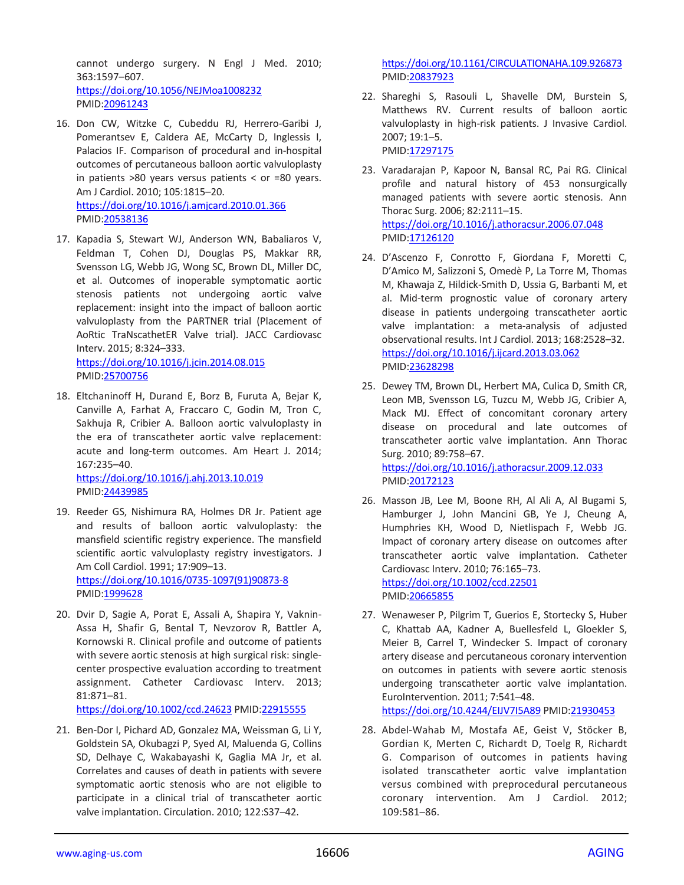cannot undergo surgery. N Engl J Med. 2010; 363:1597–607. <https://doi.org/10.1056/NEJMoa1008232> PMID[:20961243](https://pubmed.ncbi.nlm.nih.gov/20961243)

- 16. Don CW, Witzke C, Cubeddu RJ, Herrero-Garibi J, Pomerantsev E, Caldera AE, McCarty D, Inglessis I, Palacios IF. Comparison of procedural and in-hospital outcomes of percutaneous balloon aortic valvuloplasty in patients  $>80$  years versus patients < or =80 years. Am J Cardiol. 2010; 105:1815–20. <https://doi.org/10.1016/j.amjcard.2010.01.366> PMID[:20538136](https://pubmed.ncbi.nlm.nih.gov/20538136)
- 17. Kapadia S, Stewart WJ, Anderson WN, Babaliaros V, Feldman T, Cohen DJ, Douglas PS, Makkar RR, Svensson LG, Webb JG, Wong SC, Brown DL, Miller DC, et al. Outcomes of inoperable symptomatic aortic stenosis patients not undergoing aortic valve replacement: insight into the impact of balloon aortic valvuloplasty from the PARTNER trial (Placement of AoRtic TraNscathetER Valve trial). JACC Cardiovasc Interv. 2015; 8:324–333. <https://doi.org/10.1016/j.jcin.2014.08.015>

PMID[:25700756](https://pubmed.ncbi.nlm.nih.gov/25700756)

18. Eltchaninoff H, Durand E, Borz B, Furuta A, Bejar K, Canville A, Farhat A, Fraccaro C, Godin M, Tron C, Sakhuja R, Cribier A. Balloon aortic valvuloplasty in the era of transcatheter aortic valve replacement: acute and long-term outcomes. Am Heart J. 2014; 167:235–40.

<https://doi.org/10.1016/j.ahj.2013.10.019> PMID[:24439985](https://pubmed.ncbi.nlm.nih.gov/24439985)

- 19. Reeder GS, Nishimura RA, Holmes DR Jr. Patient age and results of balloon aortic valvuloplasty: the mansfield scientific registry experience. The mansfield scientific aortic valvuloplasty registry investigators. J Am Coll Cardiol. 1991; 17:909–13. [https://doi.org/10.1016/0735-1097\(91\)90873-8](https://doi.org/10.1016/0735-1097(91)90873-8) PMID[:1999628](https://pubmed.ncbi.nlm.nih.gov/1999628)
- 20. Dvir D, Sagie A, Porat E, Assali A, Shapira Y, Vaknin-Assa H, Shafir G, Bental T, Nevzorov R, Battler A, Kornowski R. Clinical profile and outcome of patients with severe aortic stenosis at high surgical risk: singlecenter prospective evaluation according to treatment assignment. Catheter Cardiovasc Interv. 2013; 81:871–81.

<https://doi.org/10.1002/ccd.24623> PMID[:22915555](https://pubmed.ncbi.nlm.nih.gov/22915555)

21. Ben-Dor I, Pichard AD, Gonzalez MA, Weissman G, Li Y, Goldstein SA, Okubagzi P, Syed AI, Maluenda G, Collins SD, Delhaye C, Wakabayashi K, Gaglia MA Jr, et al. Correlates and causes of death in patients with severe symptomatic aortic stenosis who are not eligible to participate in a clinical trial of transcatheter aortic valve implantation. Circulation. 2010; 122:S37–42.

<https://doi.org/10.1161/CIRCULATIONAHA.109.926873> PMID[:20837923](https://pubmed.ncbi.nlm.nih.gov/20837923)

- 22. Shareghi S, Rasouli L, Shavelle DM, Burstein S, Matthews RV. Current results of balloon aortic valvuloplasty in high-risk patients. J Invasive Cardiol. 2007; 19:1–5. PMID[:17297175](https://pubmed.ncbi.nlm.nih.gov/17297175)
- 23. Varadarajan P, Kapoor N, Bansal RC, Pai RG. Clinical profile and natural history of 453 nonsurgically managed patients with severe aortic stenosis. Ann Thorac Surg. 2006; 82:2111–15. <https://doi.org/10.1016/j.athoracsur.2006.07.048> PMID[:17126120](https://pubmed.ncbi.nlm.nih.gov/17126120)
- 24. D'Ascenzo F, Conrotto F, Giordana F, Moretti C, D'Amico M, Salizzoni S, Omedè P, La Torre M, Thomas M, Khawaja Z, Hildick-Smith D, Ussia G, Barbanti M, et al. Mid-term prognostic value of coronary artery disease in patients undergoing transcatheter aortic valve implantation: a meta-analysis of adjusted observational results. Int J Cardiol. 2013; 168:2528–32. <https://doi.org/10.1016/j.ijcard.2013.03.062> PMID[:23628298](https://pubmed.ncbi.nlm.nih.gov/23628298)
- 25. Dewey TM, Brown DL, Herbert MA, Culica D, Smith CR, Leon MB, Svensson LG, Tuzcu M, Webb JG, Cribier A, Mack MJ. Effect of concomitant coronary artery disease on procedural and late outcomes of transcatheter aortic valve implantation. Ann Thorac Surg. 2010; 89:758–67. <https://doi.org/10.1016/j.athoracsur.2009.12.033>
	- PMID[:20172123](https://pubmed.ncbi.nlm.nih.gov/20172123)
- 26. Masson JB, Lee M, Boone RH, Al Ali A, Al Bugami S, Hamburger J, John Mancini GB, Ye J, Cheung A, Humphries KH, Wood D, Nietlispach F, Webb JG. Impact of coronary artery disease on outcomes after transcatheter aortic valve implantation. Catheter Cardiovasc Interv. 2010; 76:165–73. <https://doi.org/10.1002/ccd.22501>

PMID[:20665855](https://pubmed.ncbi.nlm.nih.gov/20665855)

27. Wenaweser P, Pilgrim T, Guerios E, Stortecky S, Huber C, Khattab AA, Kadner A, Buellesfeld L, Gloekler S, Meier B, Carrel T, Windecker S. Impact of coronary artery disease and percutaneous coronary intervention on outcomes in patients with severe aortic stenosis undergoing transcatheter aortic valve implantation. EuroIntervention. 2011; 7:541–48.

<https://doi.org/10.4244/EIJV7I5A89> PMID[:21930453](https://pubmed.ncbi.nlm.nih.gov/21930453)

28. Abdel-Wahab M, Mostafa AE, Geist V, Stöcker B, Gordian K, Merten C, Richardt D, Toelg R, Richardt G. Comparison of outcomes in patients having isolated transcatheter aortic valve implantation versus combined with preprocedural percutaneous coronary intervention. Am J Cardiol. 2012; 109:581–86.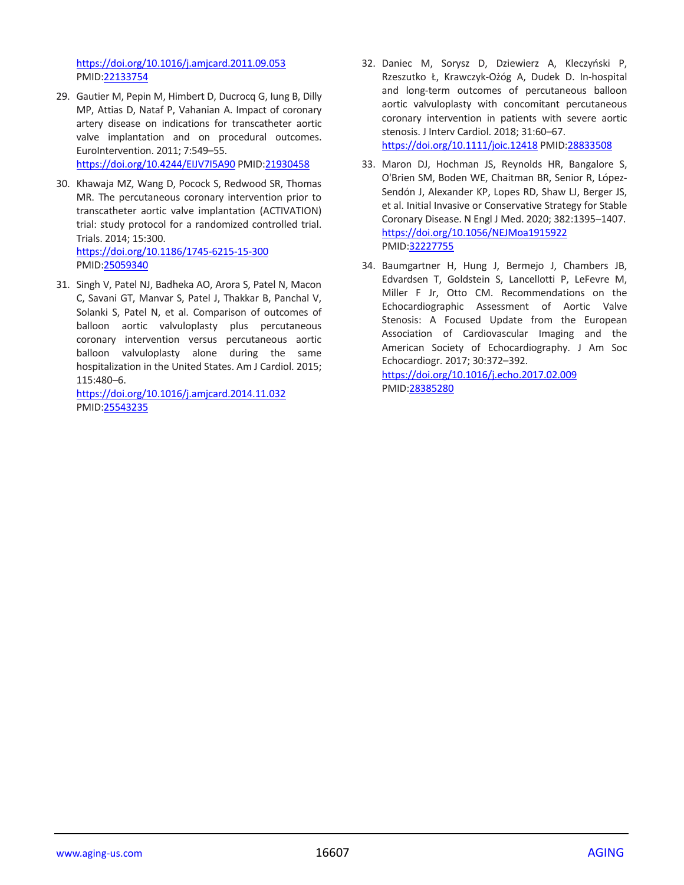<https://doi.org/10.1016/j.amjcard.2011.09.053> PMID[:22133754](https://pubmed.ncbi.nlm.nih.gov/22133754)

- 29. Gautier M, Pepin M, Himbert D, Ducrocq G, Iung B, Dilly MP, Attias D, Nataf P, Vahanian A. Impact of coronary artery disease on indications for transcatheter aortic valve implantation and on procedural outcomes. EuroIntervention. 2011; 7:549–55. <https://doi.org/10.4244/EIJV7I5A90> PMID[:21930458](https://pubmed.ncbi.nlm.nih.gov/21930458)
- 30. Khawaja MZ, Wang D, Pocock S, Redwood SR, Thomas MR. The percutaneous coronary intervention prior to transcatheter aortic valve implantation (ACTIVATION) trial: study protocol for a randomized controlled trial. Trials. 2014; 15:300. <https://doi.org/10.1186/1745-6215-15-300> PMID[:25059340](https://pubmed.ncbi.nlm.nih.gov/25059340)
- 31. Singh V, Patel NJ, Badheka AO, Arora S, Patel N, Macon C, Savani GT, Manvar S, Patel J, Thakkar B, Panchal V, Solanki S, Patel N, et al. Comparison of outcomes of balloon aortic valvuloplasty plus percutaneous coronary intervention versus percutaneous aortic balloon valvuloplasty alone during the same hospitalization in the United States. Am J Cardiol. 2015; 115:480–6.

<https://doi.org/10.1016/j.amjcard.2014.11.032> PMID[:25543235](https://pubmed.ncbi.nlm.nih.gov/25543235)

- 32. Daniec M, Sorysz D, Dziewierz A, Kleczyński P, Rzeszutko Ł, Krawczyk-Ożóg A, Dudek D. In-hospital and long-term outcomes of percutaneous balloon aortic valvuloplasty with concomitant percutaneous coronary intervention in patients with severe aortic stenosis. J Interv Cardiol. 2018; 31:60–67. <https://doi.org/10.1111/joic.12418> PMID[:28833508](https://pubmed.ncbi.nlm.nih.gov/28833508)
- 33. Maron DJ, Hochman JS, Reynolds HR, Bangalore S, O'Brien SM, Boden WE, Chaitman BR, Senior R, López-Sendón J, Alexander KP, Lopes RD, Shaw LJ, Berger JS, et al. Initial Invasive or Conservative Strategy for Stable Coronary Disease. N Engl J Med. 2020; 382:1395–1407. <https://doi.org/10.1056/NEJMoa1915922> PMID[:32227755](https://pubmed.ncbi.nlm.nih.gov/32227755)
- 34. Baumgartner H, Hung J, Bermejo J, Chambers JB, Edvardsen T, Goldstein S, Lancellotti P, LeFevre M, Miller F Jr, Otto CM. Recommendations on the Echocardiographic Assessment of Aortic Valve Stenosis: A Focused Update from the European Association of Cardiovascular Imaging and the American Society of Echocardiography. J Am Soc Echocardiogr. 2017; 30:372–392. <https://doi.org/10.1016/j.echo.2017.02.009> PMID[:28385280](https://pubmed.ncbi.nlm.nih.gov/28385280)